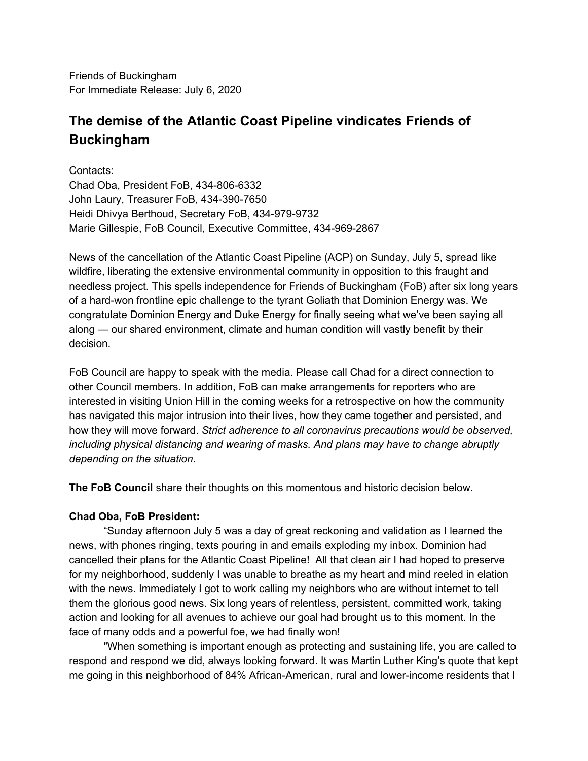Friends of Buckingham For Immediate Release: July 6, 2020

# **The demise of the Atlantic Coast Pipeline vindicates Friends of Buckingham**

Contacts: Chad Oba, President FoB, 434-806-6332 John Laury, Treasurer FoB, 434-390-7650 Heidi Dhivya Berthoud, Secretary FoB, 434-979-9732 Marie Gillespie, FoB Council, Executive Committee, 434-969-2867

News of the cancellation of the Atlantic Coast Pipeline (ACP) on Sunday, July 5, spread like wildfire, liberating the extensive environmental community in opposition to this fraught and needless project. This spells independence for Friends of Buckingham (FoB) after six long years of a hard-won frontline epic challenge to the tyrant Goliath that Dominion Energy was. We congratulate Dominion Energy and Duke Energy for finally seeing what we've been saying all along — our shared environment, climate and human condition will vastly benefit by their decision.

FoB Council are happy to speak with the media. Please call Chad for a direct connection to other Council members. In addition, FoB can make arrangements for reporters who are interested in visiting Union Hill in the coming weeks for a retrospective on how the community has navigated this major intrusion into their lives, how they came together and persisted, and how they will move forward. *Strict adherence to all coronavirus precautions would be observed, including physical distancing and wearing of masks. And plans may have to change abruptly depending on the situation.*

**The FoB Council** share their thoughts on this momentous and historic decision below.

# **Chad Oba, FoB President:**

"Sunday afternoon July 5 was a day of great reckoning and validation as I learned the news, with phones ringing, texts pouring in and emails exploding my inbox. Dominion had cancelled their plans for the Atlantic Coast Pipeline! All that clean air I had hoped to preserve for my neighborhood, suddenly I was unable to breathe as my heart and mind reeled in elation with the news. Immediately I got to work calling my neighbors who are without internet to tell them the glorious good news. Six long years of relentless, persistent, committed work, taking action and looking for all avenues to achieve our goal had brought us to this moment. In the face of many odds and a powerful foe, we had finally won!

"When something is important enough as protecting and sustaining life, you are called to respond and respond we did, always looking forward. It was Martin Luther King's quote that kept me going in this neighborhood of 84% African-American, rural and lower-income residents that I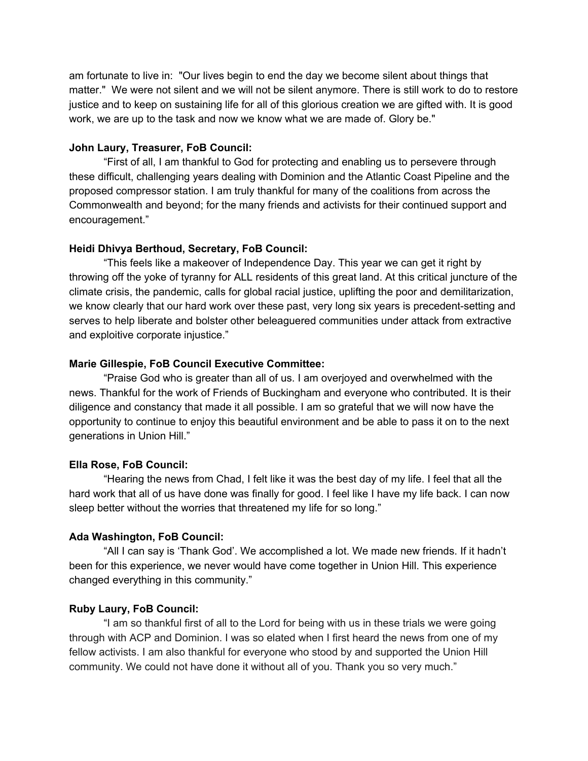am fortunate to live in: "Our lives begin to end the day we become silent about things that matter." We were not silent and we will not be silent anymore. There is still work to do to restore justice and to keep on sustaining life for all of this glorious creation we are gifted with. It is good work, we are up to the task and now we know what we are made of. Glory be."

## **John Laury, Treasurer, FoB Council:**

"First of all, I am thankful to God for protecting and enabling us to persevere through these difficult, challenging years dealing with Dominion and the Atlantic Coast Pipeline and the proposed compressor station. I am truly thankful for many of the coalitions from across the Commonwealth and beyond; for the many friends and activists for their continued support and encouragement."

# **Heidi Dhivya Berthoud, Secretary, FoB Council:**

"This feels like a makeover of Independence Day. This year we can get it right by throwing off the yoke of tyranny for ALL residents of this great land. At this critical juncture of the climate crisis, the pandemic, calls for global racial justice, uplifting the poor and demilitarization, we know clearly that our hard work over these past, very long six years is precedent-setting and serves to help liberate and bolster other beleaguered communities under attack from extractive and exploitive corporate injustice."

## **Marie Gillespie, FoB Council Executive Committee:**

"Praise God who is greater than all of us. I am overjoyed and overwhelmed with the news. Thankful for the work of Friends of Buckingham and everyone who contributed. It is their diligence and constancy that made it all possible. I am so grateful that we will now have the opportunity to continue to enjoy this beautiful environment and be able to pass it on to the next generations in Union Hill."

#### **Ella Rose, FoB Council:**

"Hearing the news from Chad, I felt like it was the best day of my life. I feel that all the hard work that all of us have done was finally for good. I feel like I have my life back. I can now sleep better without the worries that threatened my life for so long."

#### **Ada Washington, FoB Council:**

"All I can say is 'Thank God'. We accomplished a lot. We made new friends. If it hadn't been for this experience, we never would have come together in Union Hill. This experience changed everything in this community."

#### **Ruby Laury, FoB Council:**

"I am so thankful first of all to the Lord for being with us in these trials we were going through with ACP and Dominion. I was so elated when I first heard the news from one of my fellow activists. I am also thankful for everyone who stood by and supported the Union Hill community. We could not have done it without all of you. Thank you so very much."